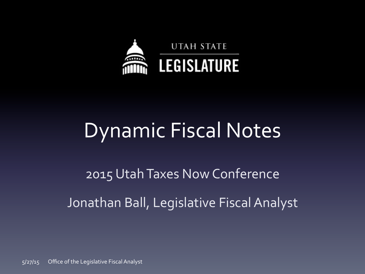

## Dynamic Fiscal Notes

2015 Utah Taxes Now Conference Jonathan Ball, Legislative Fiscal Analyst

 $5/27/15$  Office of the Legislative Fiscal Analyst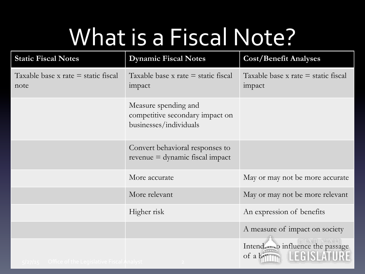# What is a Fiscal Note?

| <b>Static Fiscal Notes</b>                         | <b>Dynamic Fiscal Notes</b>                                                       | <b>Cost/Benefit Analyses</b>                    |  |
|----------------------------------------------------|-----------------------------------------------------------------------------------|-------------------------------------------------|--|
| Taxable base x rate $=$ static fiscal<br>note      | Taxable base $x$ rate $=$ static fiscal<br>impact                                 | Taxable base x rate $=$ static fiscal<br>impact |  |
|                                                    | Measure spending and<br>competitive secondary impact on<br>businesses/individuals |                                                 |  |
|                                                    | Convert behavioral responses to<br>$revenue = dynamic fiscal impact$              |                                                 |  |
|                                                    | More accurate                                                                     | May or may not be more accurate                 |  |
|                                                    | More relevant                                                                     | May or may not be more relevant                 |  |
|                                                    | Higher risk                                                                       | An expression of benefits                       |  |
|                                                    |                                                                                   | A measure of impact on society                  |  |
| $5/27/15$ Office of the Legislative Fiscal Analyst |                                                                                   | Intend o influence the passage<br>of a          |  |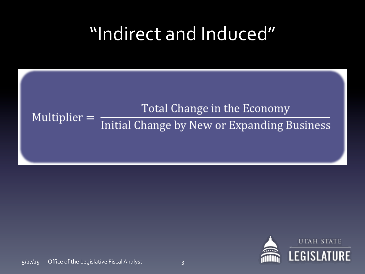## "Indirect and Induced"

### Total Change in the Economy Multiplier  $=$ Initial Change by New or Expanding Business

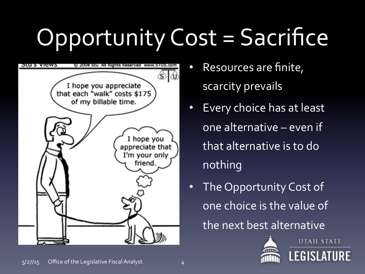# Opportunity Cost = Sacrifice



- Resources are finite, scarcity prevails
- Every choice has at least one alternative – even if that alternative is to do nothing
- The Opportunity Cost of one choice is the value of the next best alternative



**UTAH STATE LEGISLATURE**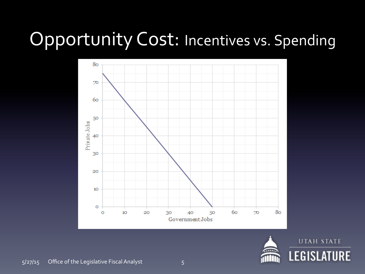## Opportunity Cost: Incentives vs. Spending



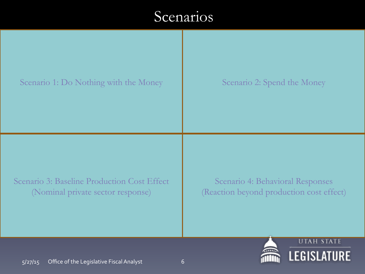### **Scenarios**



**LEGISLATURE**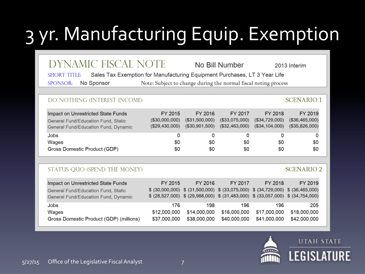## 3 yr. Manufacturing Equip. Exemption

### **DYNAMIC FISCAL NOTE**

No Bill Number

2013 Interim

**SCENARIO1** 

**SCENARIO 2** 

Sales Tax Exemption for Manufacturing Equipment Purchases, LT 3 Year Life **SHORT TITLE** 

SPONSOR: No Sponsor Note: Subject to change during the normal fiscal noting process

### DO NOTHING (INTEREST INCOME)

| Impact on Unrestricted State Funds            | FY 2015         | FY 2016        | FY 2017        | FY 2018        | FY 2019        |
|-----------------------------------------------|-----------------|----------------|----------------|----------------|----------------|
| General Fund/Education Fund, Static           | (S30,000,000)   | (\$31,500,000) | (\$33,075,000) | (\$34,729,000) | (\$36,465,000) |
| General Fund/Education Fund, Dynamic          | (S29, 430, 000) | (\$30,901,500) | (\$32,463,000) | (\$34,104,000) | (\$35,826,000) |
| Jobs<br>Wages<br>Gross Domestic Product (GDP) | 0<br>\$0<br>\$0 | SO.<br>SO.     | \$0<br>\$0     | 80<br>\$0      | \$0<br>\$0     |

#### STATUS QUO (SPEND THE MONEY)

| FY 2015      | FY 2016      | FY 2017      | FY 2018      | FY 2019                                                                                                                                                                 |
|--------------|--------------|--------------|--------------|-------------------------------------------------------------------------------------------------------------------------------------------------------------------------|
|              |              |              |              |                                                                                                                                                                         |
|              |              |              |              |                                                                                                                                                                         |
| 176          | 198          | 196          | 196          | 205                                                                                                                                                                     |
| \$12,000,000 | \$14,000,000 | \$16,000,000 | \$17,000,000 | \$18,000,000                                                                                                                                                            |
| \$37,000,000 |              | \$40,000,000 | \$41,000,000 | \$42,000,000                                                                                                                                                            |
|              |              |              | \$38,000,000 | $$$ (30,000,000) $$$ (31,500,000) $$$ (33,075,000) $$$ (34,729,000) $$$ (36,465,000)<br>\$ (28,527,000) \$ (29,988,000) \$ (31,483,000) \$ (33,057,000) \$ (34,754,000) |